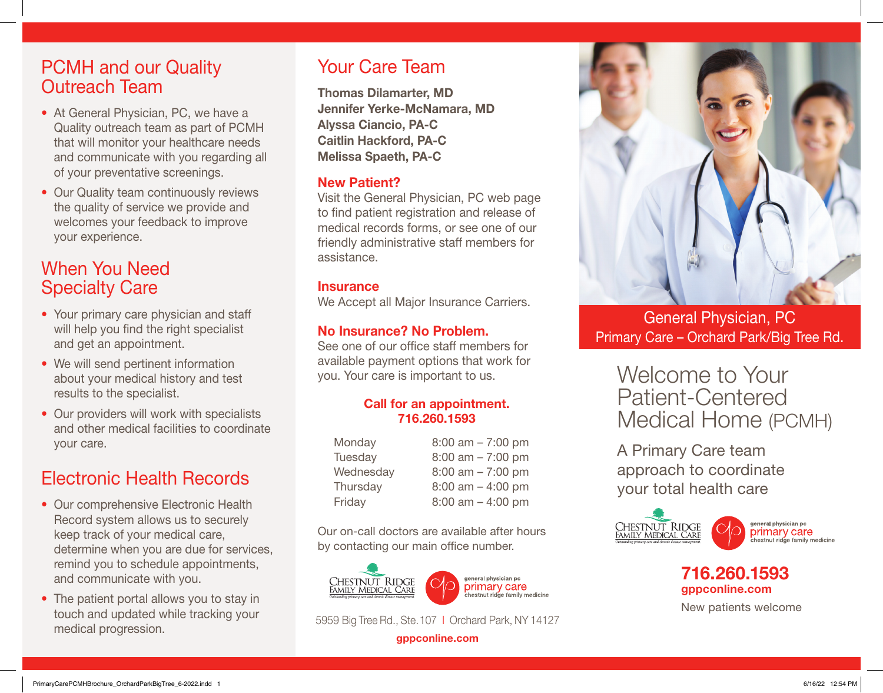### PCMH and our Quality Outreach Team

- At General Physician, PC, we have a Quality outreach team as part of PCMH that will monitor your healthcare needs and communicate with you regarding all of your preventative screenings.
- Our Quality team continuously reviews the quality of service we provide and welcomes your feedback to improve your experience.

## When You Need Specialty Care

- Your primary care physician and staff will help you find the right specialist and get an appointment.
- We will send pertinent information about your medical history and test results to the specialist.
- Our providers will work with specialists and other medical facilities to coordinate your care.

# Electronic Health Records

- Our comprehensive Electronic Health Record system allows us to securely keep track of your medical care, determine when you are due for services, remind you to schedule appointments, and communicate with you.
- The patient portal allows you to stay in touch and updated while tracking your medical progression.

## Your Care Team

Thomas Dilamarter, MD Jennifer Yerke-McNamara, MD Alyssa Ciancio, PA-C Caitlin Hackford, PA-C Melissa Spaeth, PA-C

### New Patient?

Visit the General Physician, PC web page to find patient registration and release of medical records forms, or see one of our friendly administrative staff members for assistance.

#### **Insurance**

We Accept all Major Insurance Carriers.

### No Insurance? No Problem.

See one of our office staff members for available payment options that work for you. Your care is important to us.

#### Call for an appointment. 716.260.1593

| $8:00$ am $- 7:00$ pm |
|-----------------------|
| $8:00$ am $- 7:00$ pm |
| $8:00$ am $- 7:00$ pm |
| $8:00$ am $-4:00$ pm  |
| $8:00$ am $-4:00$ pm  |
|                       |

Our on-call doctors are available after hours by contacting our main office number.



5959 Big Tree Rd., Ste. 107 I Orchard Park, NY 14127

gppconline.com



General Physician, PC Primary Care – Orchard Park/Big Tree Rd.

# Welcome to Your Patient-Centered Medical Home (PCMH)

A Primary Care team approach to coordinate your total health care



### 716.260.1593 gppconline.com

New patients welcome